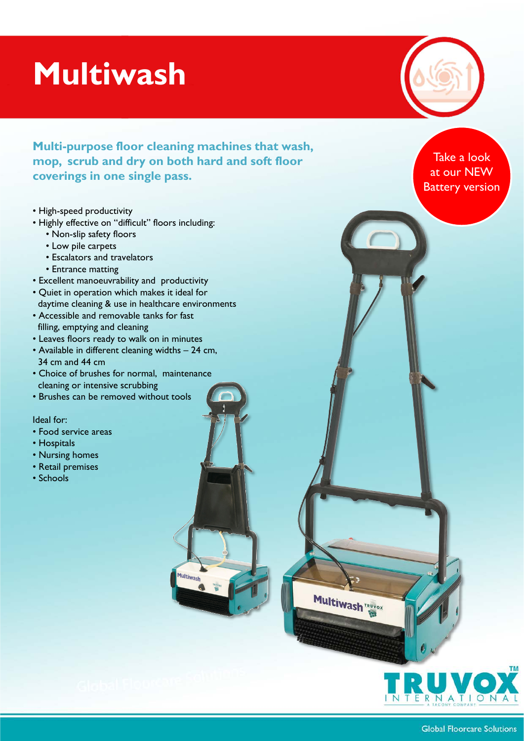## **Multiwash**

**Multi-purpose floor cleaning machines that wash, mop, scrub and dry on both hard and soft floor coverings in one single pass.**

Multiwash

- High-speed productivity
- Highly effective on "difficult" floors including:
	- Non-slip safety floors
	- Low pile carpets
	- Escalators and travelators
	- Entrance matting
- Excellent manoeuvrability and productivity
- Quiet in operation which makes it ideal for daytime cleaning & use in healthcare environments
- Accessible and removable tanks for fast filling, emptying and cleaning
- Leaves floors ready to walk on in minutes
- Available in different cleaning widths 24 cm, 34 cm and 44 cm
- Choice of brushes for normal, maintenance cleaning or intensive scrubbing
- Brushes can be removed without tools

Ideal for:

- Food service areas
- Hospitals
- Nursing homes
- Retail premises
- Schools

Take a look at our NEW Battery version



**Multiwash TRUVOX**